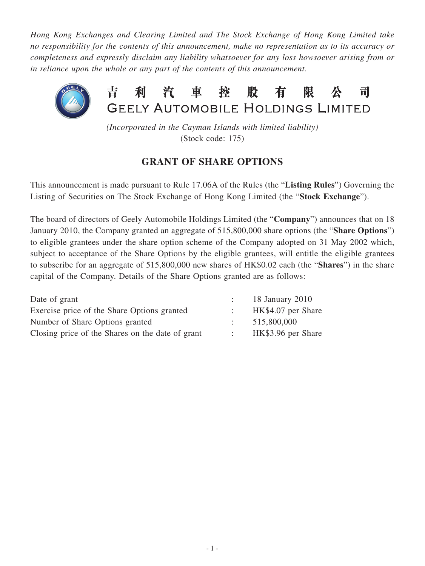*Hong Kong Exchanges and Clearing Limited and The Stock Exchange of Hong Kong Limited take no responsibility for the contents of this announcement, make no representation as to its accuracy or completeness and expressly disclaim any liability whatsoever for any loss howsoever arising from or in reliance upon the whole or any part of the contents of this announcement.*



*(Incorporated in the Cayman Islands with limited liability)* (Stock code: 175)

## **GRANT OF SHARE OPTIONS**

This announcement is made pursuant to Rule 17.06A of the Rules (the "**Listing Rules**") Governing the Listing of Securities on The Stock Exchange of Hong Kong Limited (the "**Stock Exchange**").

The board of directors of Geely Automobile Holdings Limited (the "**Company**") announces that on 18 January 2010, the Company granted an aggregate of 515,800,000 share options (the "**Share Options**") to eligible grantees under the share option scheme of the Company adopted on 31 May 2002 which, subject to acceptance of the Share Options by the eligible grantees, will entitle the eligible grantees to subscribe for an aggregate of 515,800,000 new shares of HK\$0.02 each (the "**Shares**") in the share capital of the Company. Details of the Share Options granted are as follows:

| Date of grant                                    | 18 January 2010    |
|--------------------------------------------------|--------------------|
| Exercise price of the Share Options granted      | HK\$4.07 per Share |
| Number of Share Options granted                  | 515,800,000        |
| Closing price of the Shares on the date of grant | HK\$3.96 per Share |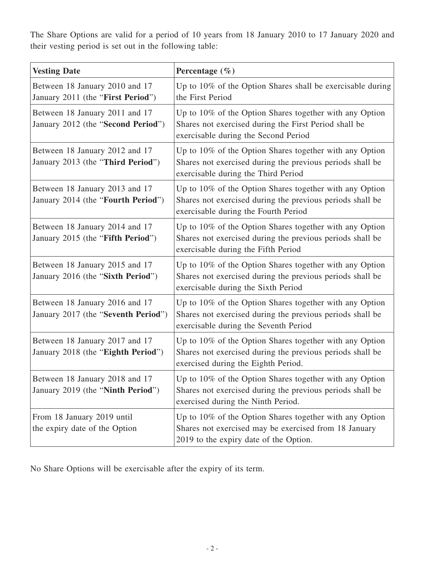The Share Options are valid for a period of 10 years from 18 January 2010 to 17 January 2020 and their vesting period is set out in the following table:

| <b>Vesting Date</b>                                                   | Percentage $(\% )$                                                                                                                                            |
|-----------------------------------------------------------------------|---------------------------------------------------------------------------------------------------------------------------------------------------------------|
| Between 18 January 2010 and 17<br>January 2011 (the "First Period")   | Up to 10% of the Option Shares shall be exercisable during<br>the First Period                                                                                |
| Between 18 January 2011 and 17<br>January 2012 (the "Second Period")  | Up to 10% of the Option Shares together with any Option<br>Shares not exercised during the First Period shall be<br>exercisable during the Second Period      |
| Between 18 January 2012 and 17<br>January 2013 (the "Third Period")   | Up to 10% of the Option Shares together with any Option<br>Shares not exercised during the previous periods shall be<br>exercisable during the Third Period   |
| Between 18 January 2013 and 17<br>January 2014 (the "Fourth Period")  | Up to 10% of the Option Shares together with any Option<br>Shares not exercised during the previous periods shall be<br>exercisable during the Fourth Period  |
| Between 18 January 2014 and 17<br>January 2015 (the "Fifth Period")   | Up to 10% of the Option Shares together with any Option<br>Shares not exercised during the previous periods shall be<br>exercisable during the Fifth Period   |
| Between 18 January 2015 and 17<br>January 2016 (the "Sixth Period")   | Up to 10% of the Option Shares together with any Option<br>Shares not exercised during the previous periods shall be<br>exercisable during the Sixth Period   |
| Between 18 January 2016 and 17<br>January 2017 (the "Seventh Period") | Up to 10% of the Option Shares together with any Option<br>Shares not exercised during the previous periods shall be<br>exercisable during the Seventh Period |
| Between 18 January 2017 and 17<br>January 2018 (the "Eighth Period")  | Up to 10% of the Option Shares together with any Option<br>Shares not exercised during the previous periods shall be<br>exercised during the Eighth Period.   |
| Between 18 January 2018 and 17<br>January 2019 (the "Ninth Period")   | Up to 10% of the Option Shares together with any Option<br>Shares not exercised during the previous periods shall be<br>exercised during the Ninth Period.    |
| From 18 January 2019 until<br>the expiry date of the Option           | Up to 10% of the Option Shares together with any Option<br>Shares not exercised may be exercised from 18 January<br>2019 to the expiry date of the Option.    |

No Share Options will be exercisable after the expiry of its term.